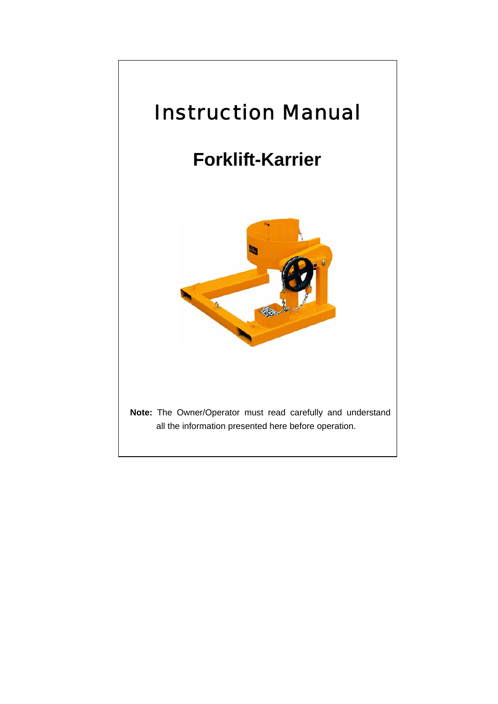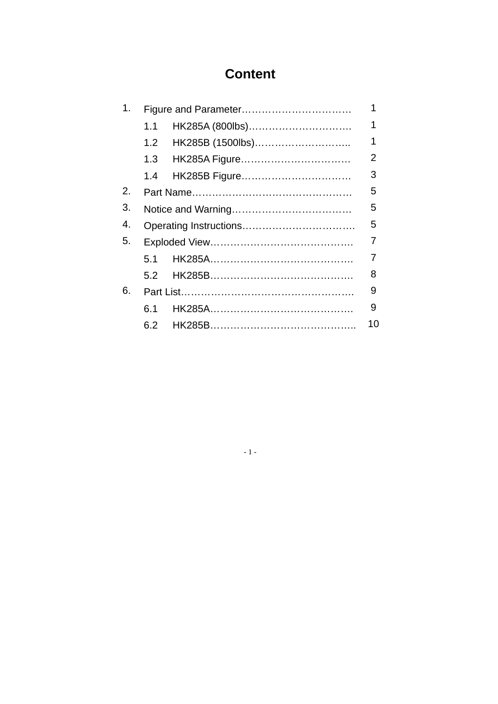# **Content**

| 1. |     |                      |    |  |  |
|----|-----|----------------------|----|--|--|
|    | 1.1 | HK285A (800lbs)      | 1  |  |  |
|    |     | 1.2 HK285B (1500lbs) | 1  |  |  |
|    |     |                      | 2  |  |  |
|    |     |                      | 3  |  |  |
| 2. |     |                      |    |  |  |
| 3. |     |                      |    |  |  |
| 4. |     |                      |    |  |  |
| 5. |     |                      |    |  |  |
|    | 51  |                      | 7  |  |  |
|    |     |                      | 8  |  |  |
| 6. |     |                      |    |  |  |
|    | 6.1 |                      | 9  |  |  |
|    |     |                      | 10 |  |  |

 $\sim 1$  -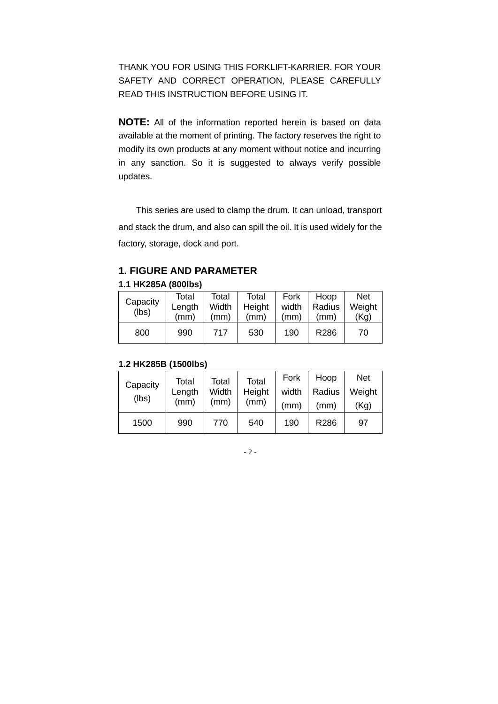THANK YOU FOR USING THIS FORKLIFT-KARRIER. FOR YOUR SAFETY AND CORRECT OPERATION, PLEASE CAREFULLY READ THIS INSTRUCTION BEFORE USING IT.

**NOTE:** All of the information reported herein is based on data available at the moment of printing. The factory reserves the right to modify its own products at any moment without notice and incurring in any sanction. So it is suggested to always verify possible updates.

This series are used to clamp the drum. It can unload, transport and stack the drum, and also can spill the oil. It is used widely for the factory, storage, dock and port.

# **1. FIGURE AND PARAMETER**

#### **1.1 HK285A (800lbs)**

| Capacity<br>(lbs) | Total<br>Length<br>(mm) | Total<br>Width<br>(mm) | Total<br>Height<br>(mm) | Fork<br>width<br>(mm) | Hoop<br>Radius<br>(mm) | <b>Net</b><br>Weight<br>(Kg) |
|-------------------|-------------------------|------------------------|-------------------------|-----------------------|------------------------|------------------------------|
| 800               | 990                     | 717                    | 530                     | 190                   | R286                   | 70                           |

#### **1.2 HK285B (1500lbs)**

| Capacity<br>(lbs) | Total<br>Length<br>(mm) | Total<br>Width<br>(mm) | Total<br>Height<br>(mm) | Fork<br>width<br>(mm) | Hoop<br>Radius<br>(mm) | <b>Net</b><br>Weight<br>(Kg) |
|-------------------|-------------------------|------------------------|-------------------------|-----------------------|------------------------|------------------------------|
| 1500              | 990                     | 770                    | 540                     | 190                   | R286                   | 97                           |

#### - 2 -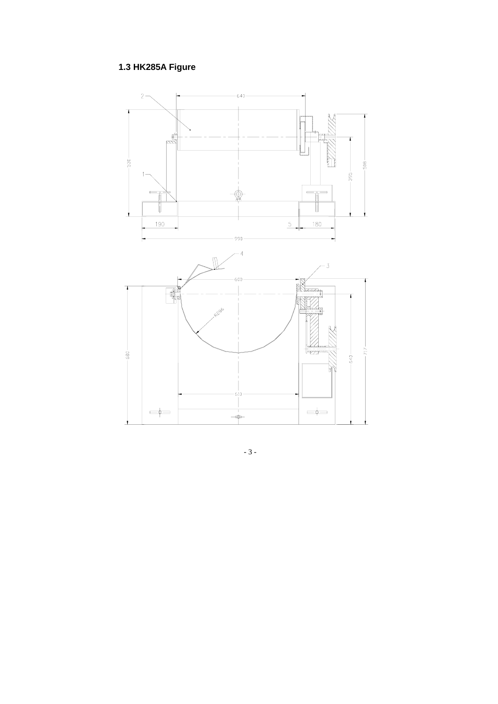# 1.3 HK285A Figure



 $-3-$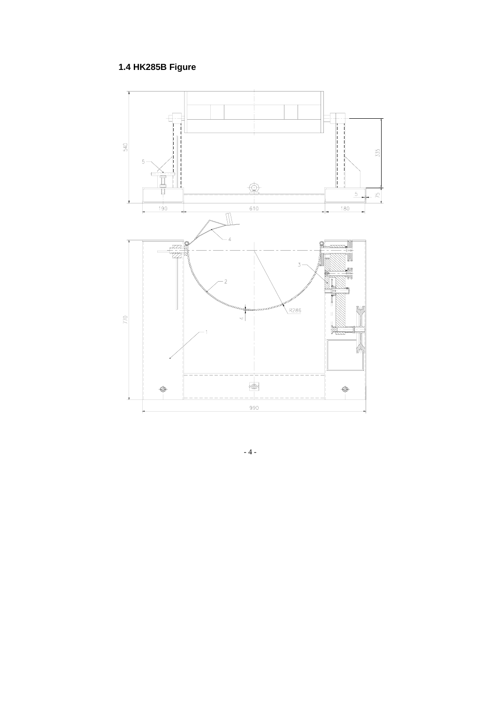# 1.4 HK285B Figure



 $\sim 4$  -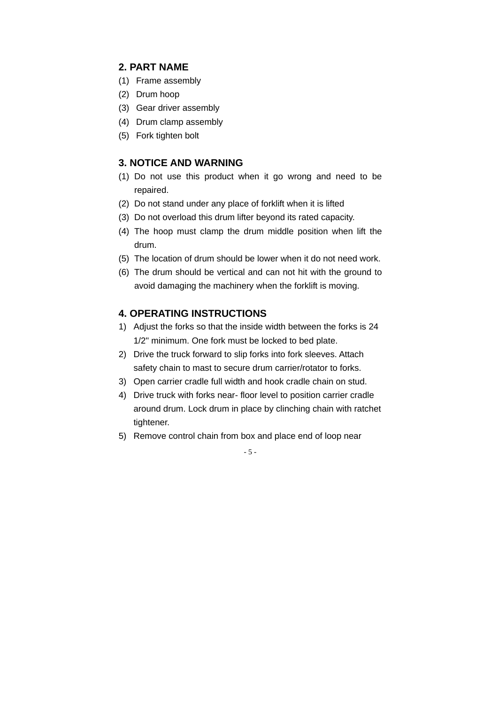### **2. PART NAME**

- (1) Frame assembly
- (2) Drum hoop
- (3) Gear driver assembly
- (4) Drum clamp assembly
- (5) Fork tighten bolt

#### **3. NOTICE AND WARNING**

- (1) Do not use this product when it go wrong and need to be repaired.
- (2) Do not stand under any place of forklift when it is lifted
- (3) Do not overload this drum lifter beyond its rated capacity.
- (4) The hoop must clamp the drum middle position when lift the drum.
- (5) The location of drum should be lower when it do not need work.
- (6) The drum should be vertical and can not hit with the ground to avoid damaging the machinery when the forklift is moving.

### **4. OPERATING INSTRUCTIONS**

- 1) Adjust the forks so that the inside width between the forks is 24 1/2" minimum. One fork must be locked to bed plate.
- 2) Drive the truck forward to slip forks into fork sleeves. Attach safety chain to mast to secure drum carrier/rotator to forks.
- 3) Open carrier cradle full width and hook cradle chain on stud.
- 4) Drive truck with forks near- floor level to position carrier cradle around drum. Lock drum in place by clinching chain with ratchet tightener.
- 5) Remove control chain from box and place end of loop near

- 5 -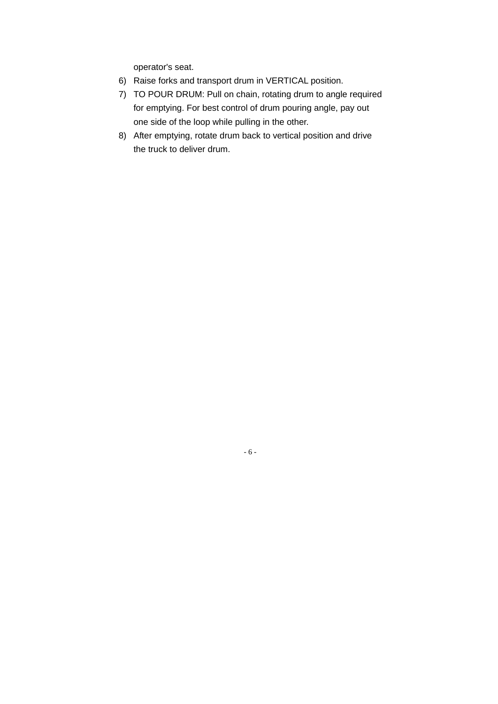operator's seat.

- 6) Raise forks and transport drum in VERTICAL position.
- 7) TO POUR DRUM: Pull on chain, rotating drum to angle required for emptying. For best control of drum pouring angle, pay out one side of the loop while pulling in the other.
- 8) After emptying, rotate drum back to vertical position and drive the truck to deliver drum.

- 6 -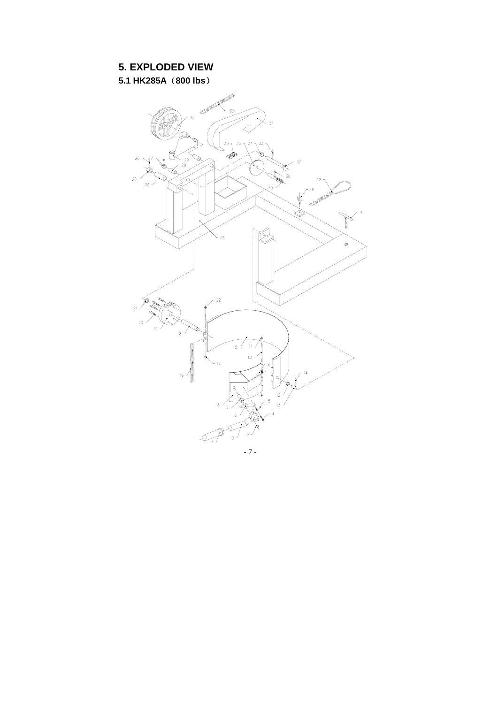# **5. EXPLODED VIEW**

**5.1 HK285A**(**800 lbs**)

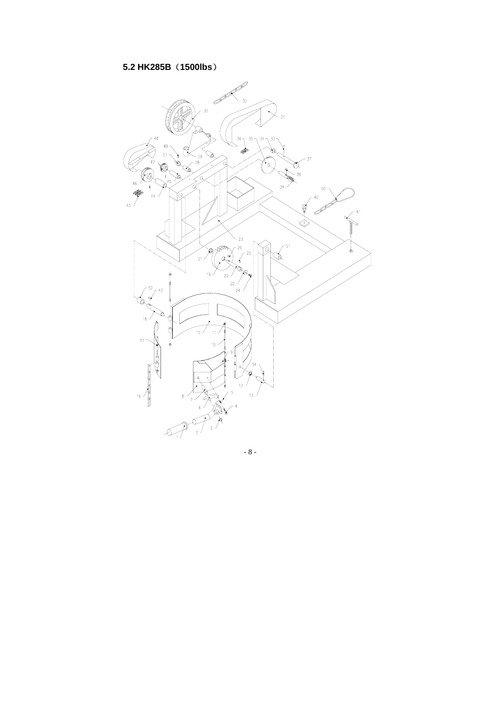## 5.2 HK285B (1500lbs)



 $-8-$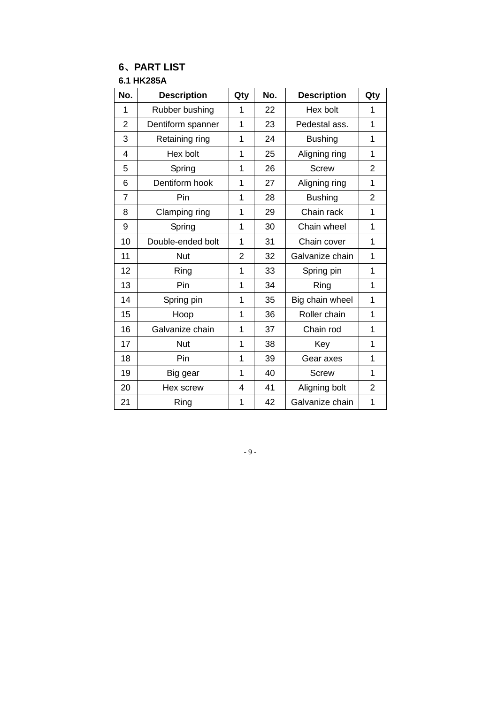# **6**、**PART LIST**

**6.1 HK285A** 

| No.            | <b>Description</b> | Qty | No. | <b>Description</b> | Qty            |
|----------------|--------------------|-----|-----|--------------------|----------------|
| 1              | Rubber bushing     | 1   | 22  | Hex bolt           | 1              |
| $\overline{2}$ | Dentiform spanner  | 1   | 23  | Pedestal ass.      | 1              |
| 3              | Retaining ring     | 1   | 24  | <b>Bushing</b>     | 1              |
| 4              | Hex bolt           | 1   | 25  | Aligning ring      | 1              |
| 5              | Spring             | 1   | 26  | <b>Screw</b>       | 2              |
| 6              | Dentiform hook     | 1   | 27  | Aligning ring      | $\overline{1}$ |
| $\overline{7}$ | Pin                | 1   | 28  | <b>Bushing</b>     | $\overline{2}$ |
| 8              | Clamping ring      | 1   | 29  | Chain rack         | 1              |
| 9              | Spring             | 1   | 30  | Chain wheel        | 1              |
| 10             | Double-ended bolt  | 1   | 31  | Chain cover        | 1              |
| 11             | <b>Nut</b>         | 2   | 32  | Galvanize chain    | 1              |
| 12             | Ring               | 1   | 33  | Spring pin         | 1              |
| 13             | Pin                | 1   | 34  | Ring               | $\overline{1}$ |
| 14             | Spring pin         | 1   | 35  | Big chain wheel    | 1              |
| 15             | Hoop               | 1   | 36  | Roller chain       | 1              |
| 16             | Galvanize chain    | 1   | 37  | Chain rod          | 1              |
| 17             | <b>Nut</b>         | 1   | 38  | Key                | 1              |
| 18             | Pin                | 1   | 39  | Gear axes          | 1              |
| 19             | Big gear           | 1   | 40  | <b>Screw</b>       | 1              |
| 20             | Hex screw          | 4   | 41  | Aligning bolt      | $\overline{2}$ |
| 21             | Ring               | 1   | 42  | Galvanize chain    | 1              |

#### - 9 -